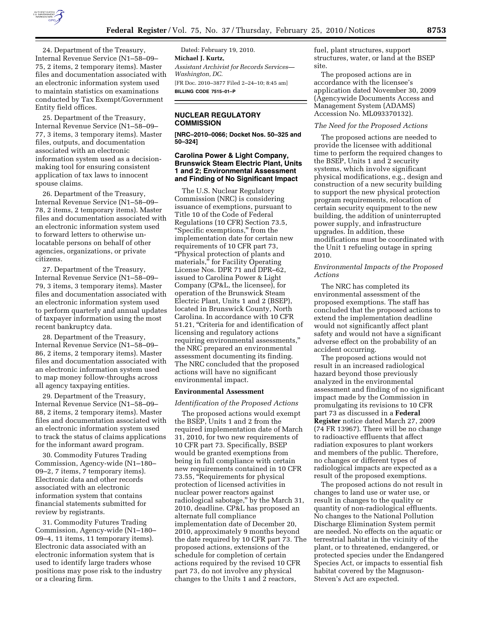

24. Department of the Treasury, Internal Revenue Service (N1–58–09– 75, 2 items, 2 temporary items). Master files and documentation associated with an electronic information system used to maintain statistics on examinations conducted by Tax Exempt/Government Entity field offices.

25. Department of the Treasury, Internal Revenue Service (N1–58–09– 77, 3 items, 3 temporary items). Master files, outputs, and documentation associated with an electronic information system used as a decisionmaking tool for ensuring consistent application of tax laws to innocent spouse claims.

26. Department of the Treasury, Internal Revenue Service (N1–58–09– 78, 2 items, 2 temporary items). Master files and documentation associated with an electronic information system used to forward letters to otherwise unlocatable persons on behalf of other agencies, organizations, or private citizens.

27. Department of the Treasury, Internal Revenue Service (N1–58–09– 79, 3 items, 3 temporary items). Master files and documentation associated with an electronic information system used to perform quarterly and annual updates of taxpayer information using the most recent bankruptcy data.

28. Department of the Treasury, Internal Revenue Service (N1–58–09– 86, 2 items, 2 temporary items). Master files and documentation associated with an electronic information system used to map money follow-throughs across all agency taxpaying entities.

29. Department of the Treasury, Internal Revenue Service (N1–58–09– 88, 2 items, 2 temporary items). Master files and documentation associated with an electronic information system used to track the status of claims applications for the informant award program.

30. Commodity Futures Trading Commission, Agency-wide (N1–180– 09–2, 7 items, 7 temporary items). Electronic data and other records associated with an electronic information system that contains financial statements submitted for review by registrants.

31. Commodity Futures Trading Commission, Agency-wide (N1–180– 09–4, 11 items, 11 temporary items). Electronic data associated with an electronic information system that is used to identify large traders whose positions may pose risk to the industry or a clearing firm.

Dated: February 19, 2010. **Michael J. Kurtz,**  *Assistant Archivist for Records Services— Washington, DC.*  [FR Doc. 2010–3877 Filed 2–24–10; 8:45 am] **BILLING CODE 7515–01–P** 

# **NUCLEAR REGULATORY COMMISSION**

**[NRC–2010–0066; Docket Nos. 50–325 and 50–324]** 

# **Carolina Power & Light Company, Brunswick Steam Electric Plant, Units 1 and 2; Environmental Assessment and Finding of No Significant Impact**

The U.S. Nuclear Regulatory Commission (NRC) is considering issuance of exemptions, pursuant to Title 10 of the Code of Federal Regulations (10 CFR) Section 73.5, ''Specific exemptions,'' from the implementation date for certain new requirements of 10 CFR part 73, ''Physical protection of plants and materials,'' for Facility Operating License Nos. DPR 71 and DPR–62, issued to Carolina Power & Light Company (CP&L, the licensee), for operation of the Brunswick Steam Electric Plant, Units 1 and 2 (BSEP), located in Brunswick County, North Carolina. In accordance with 10 CFR 51.21, "Criteria for and identification of licensing and regulatory actions requiring environmental assessments,'' the NRC prepared an environmental assessment documenting its finding. The NRC concluded that the proposed actions will have no significant environmental impact.

#### **Environmental Assessment**

### *Identification of the Proposed Actions*

The proposed actions would exempt the BSEP, Units 1 and 2 from the required implementation date of March 31, 2010, for two new requirements of 10 CFR part 73. Specifically, BSEP would be granted exemptions from being in full compliance with certain new requirements contained in 10 CFR 73.55, ''Requirements for physical protection of licensed activities in nuclear power reactors against radiological sabotage,'' by the March 31, 2010, deadline. CP&L has proposed an alternate full compliance implementation date of December 20, 2010, approximately 9 months beyond the date required by 10 CFR part 73. The proposed actions, extensions of the schedule for completion of certain actions required by the revised 10 CFR part 73, do not involve any physical changes to the Units 1 and 2 reactors,

fuel, plant structures, support structures, water, or land at the BSEP site.

The proposed actions are in accordance with the licensee's application dated November 30, 2009 (Agencywide Documents Access and Management System (ADAMS) Accession No. ML093370132).

#### *The Need for the Proposed Actions*

The proposed actions are needed to provide the licensee with additional time to perform the required changes to the BSEP, Units 1 and 2 security systems, which involve significant physical modifications, e.g., design and construction of a new security building to support the new physical protection program requirements, relocation of certain security equipment to the new building, the addition of uninterrupted power supply, and infrastructure upgrades. In addition, these modifications must be coordinated with the Unit 1 refueling outage in spring 2010.

# *Environmental Impacts of the Proposed Actions*

The NRC has completed its environmental assessment of the proposed exemptions. The staff has concluded that the proposed actions to extend the implementation deadline would not significantly affect plant safety and would not have a significant adverse effect on the probability of an accident occurring.

The proposed actions would not result in an increased radiological hazard beyond those previously analyzed in the environmental assessment and finding of no significant impact made by the Commission in promulgating its revisions to 10 CFR part 73 as discussed in a **Federal Register** notice dated March 27, 2009 (74 FR 13967). There will be no change to radioactive effluents that affect radiation exposures to plant workers and members of the public. Therefore, no changes or different types of radiological impacts are expected as a result of the proposed exemptions.

The proposed actions do not result in changes to land use or water use, or result in changes to the quality or quantity of non-radiological effluents. No changes to the National Pollution Discharge Elimination System permit are needed. No effects on the aquatic or terrestrial habitat in the vicinity of the plant, or to threatened, endangered, or protected species under the Endangered Species Act, or impacts to essential fish habitat covered by the Magnuson-Steven's Act are expected.